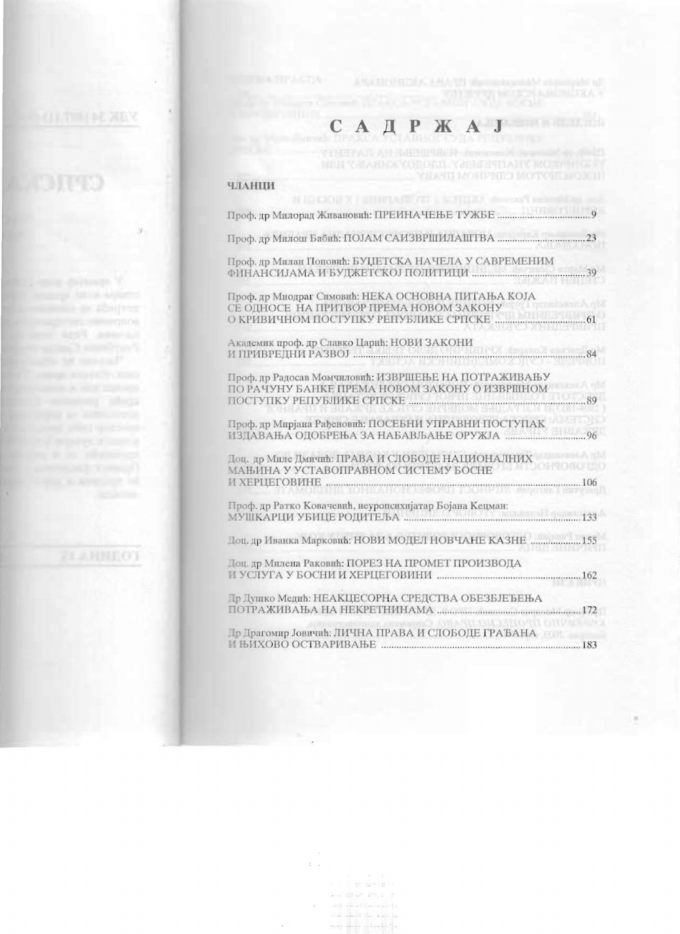#### Д  $C_A$  $\mathbf{P}$ **KAJ**  $\mathbf{a}$   $\mathbf{a}$

### чланци

| Проф. др Милан Поповић: БУЏЕТСКА НАЧЕЛА У САВРЕМЕНИМ                                                                                    |     |
|-----------------------------------------------------------------------------------------------------------------------------------------|-----|
| Проф. др Миодраг Симовић: НЕКА ОСНОВНА ПИТАЊА КОЈА<br>СЕ ОДНОСЕ НА ПРИТВОР ПРЕМА НОВОМ ЗАКОНУ<br>О КРИВИЧНОМ ПОСТУПКУ РЕПУБЛИКЕ СРПСКЕ. |     |
| Академик проф. др Славко Царић: НОВИ ЗАКОНИ                                                                                             |     |
| Проф. др Радосав Момчиловић: ИЗВРШЕЊЕ НА ПОТРАЖИВАЊУ<br>ПО РАЧУНУ БАНКЕ ПРЕМА НОВОМ ЗАКОНУ О ИЗВРШНОМ                                   | .89 |
| Проф. др Мирјана Рађеновић: ПОСЕБНИ УПРАВНИ ПОСТУПАК<br>ИЗДАВАЊА ОДОБРЕЊА ЗА НАБАВЉАЊЕ ОРУЖЈА                                           | 96  |
| Доц. др Миле Дмичић: ПРАВА И СЛОБОДЕ НАЦИОНАЛНИХ<br>МАЊИНА У УСТАВОПРАВНОМ СИСТЕМУ БОСНЕ<br>И ХЕРЦЕГОВИНЕ                               |     |
| Проф. др Ратко Ковачевић, неуропсихијатар Бојана Кецман:                                                                                |     |
| Доп. др Иванка Марковић: НОВИ МОДЕЛ НОВЧАНЕ КАЗНЕ                                                                                       |     |
| Доц. др Милена Раковић: ПОРЕЗ НА ПРОМЕТ ПРОИЗВОДА                                                                                       |     |
| Пр Душко Медић: НЕАКЦЕСОРНА СРЕДСТВА ОБЕЗБЈЕЂЕЊА                                                                                        |     |
| Пр Прагомир Јовичић: ЛИЧНА ПРАВА И СЛОБОДЕ ГРАЂАНА                                                                                      | 183 |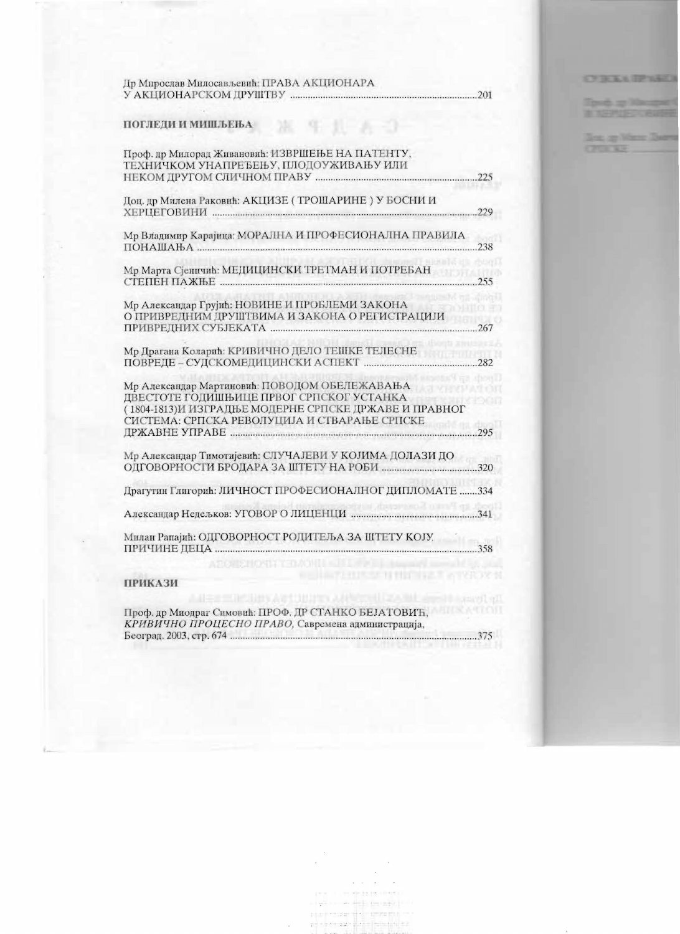| Др Мирослав Милосављевић: ПРАВА АКЦИОНАРА |  |
|-------------------------------------------|--|
| У АКЦИОНАРСКОМ ДРУШТВУ                    |  |

生儿子名

### ПОГЛЕДИ И МИШЉЕЊА

| Проф. др Милорад Живановић: ИЗВРШЕЊЕ НА ПАТЕНТУ,<br>ТЕХНИЧКОМ УНАПРЕЂЕЊУ, ПЛОДОУЖИВАЊУ ИЛИ                                                                                                          | .225 |
|-----------------------------------------------------------------------------------------------------------------------------------------------------------------------------------------------------|------|
| Доц. др Милена Раковић: АКЦИЗЕ (ТРОШАРИНЕ) У БОСНИ И                                                                                                                                                |      |
| Мр Владимир Карајица: МОРАЛНА И ПРОФЕСИОНАЛНА ПРАВИЛА<br>$\Pi$ OHAIIIAHA                                                                                                                            | .238 |
| Мр Марта Сјештчић: МЕДИЦИНСКИ ТРЕТМАН И ПОТРЕБАН                                                                                                                                                    | 255  |
| Мр Александар Грујић: НОВИНЕ И ПРОБЛЕМИ ЗАКОНА<br>О ПРИВРЕДНИМ ДРУШТВИМА И ЗАКОНА О РЕГИСТРАЦИЈИ                                                                                                    |      |
| Мр Драгана Коларић: КРИВИЧНО ДЕЛО ТЕШКЕ ТЕЛЕСНЕ                                                                                                                                                     | 282  |
| Мр Александар Мартиновић: ПОВОДОМ ОБЕЛЕЖАВАЊА<br>ДВЕСТОТЕ ГОДИШЊИЦЕ ПРВОГ СРПСКОГ УСТАНКА<br>(1804-1813) И ИЗГРАДЊЕ МОДЕРНЕ СРПСКЕ ДРЖАВЕ И ПРАВНОГ<br>СИСТЕМА: СРПСКА РЕВОЛУЦИЈА И СТВАРАЊЕ СРПСКЕ |      |
| Мр Александар Тимотијевић: СЛУЧАЈЕВИ У КОЈИМА ДОЛАЗИ ДО                                                                                                                                             |      |
| Драгутин Глигорић: ЛИЧНОСТ ПРОФЕСИОНАЛНОГ ДИПЛОМАТЕ 334                                                                                                                                             |      |
|                                                                                                                                                                                                     |      |
| Милан Рапајић: ОДГОВОРНОСТ РОДИТЕЉА ЗА ШТЕТУ КОЈУ.                                                                                                                                                  | .358 |

## ПРИКАЗИ

Проф. др Миодраг Симовић: ПРОФ. ДР СТАНКО БЕЈАТОВИЋ, КРИВИЧНО ПРОЦЕСНО ПРАВО, Савремена администрација, ................375

**Amarol All**